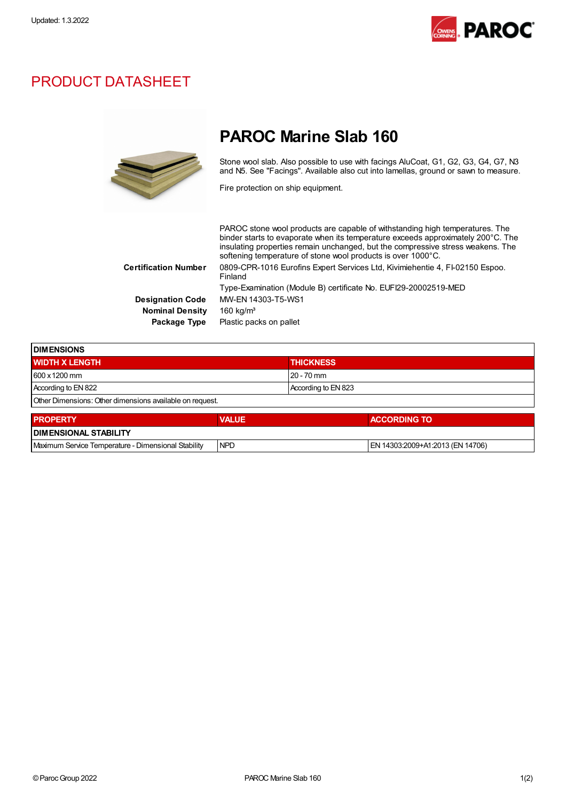

## PRODUCT DATASHEET



## PAROC Marine Slab 160

Stone wool slab. Also possible to use with facings AluCoat, G1, G2, G3, G4, G7, N3 and N5. See "Facings". Available also cut into lamellas, ground or sawn to measure.

Fire protection on ship equipment.

PAROC stone wool products are capable of withstanding high temperatures. The binder starts to evaporate when its temperature exceeds approximately 200°C. The insulating properties remain unchanged, but the compressive stress weakens. The softening temperature of stone wool products is over 1000°C. Certification Number 0809-CPR-1016 Eurofins Expert Services Ltd, Kivimiehentie 4, FI-02150 Espoo. Finland Type-Examination (Module B) certificate No. EUFI29-20002519-MED Designation Code MW-EN 14303-T5-WS1 Nominal Density 160 kg/m<sup>3</sup> Package Type Plastic packs on pallet

| <b>DIMENSIONS</b>                                        |              |                     |  |  |  |
|----------------------------------------------------------|--------------|---------------------|--|--|--|
| <b>WIDTH X LENGTH</b>                                    |              | <b>THICKNESS</b>    |  |  |  |
| 600 x 1200 mm                                            |              | 20 - 70 mm          |  |  |  |
| According to EN 822                                      |              | According to EN 823 |  |  |  |
| Other Dimensions: Other dimensions available on request. |              |                     |  |  |  |
| <b>PROPERTY</b>                                          | <b>VALUE</b> | <b>ACCORDING TO</b> |  |  |  |
| <b>DIMENSIONAL STABILITY</b>                             |              |                     |  |  |  |

| <b>I DIMENSIONAL</b><br>. STABILITY                                   |            |                                            |  |  |
|-----------------------------------------------------------------------|------------|--------------------------------------------|--|--|
| `Stabilitv<br>Maximum<br>Dimensional<br>Service<br><b>lemperature</b> | <b>NPF</b> | 14706)<br>-03:2009+A1:2011<br>3 (FN-<br>-N |  |  |